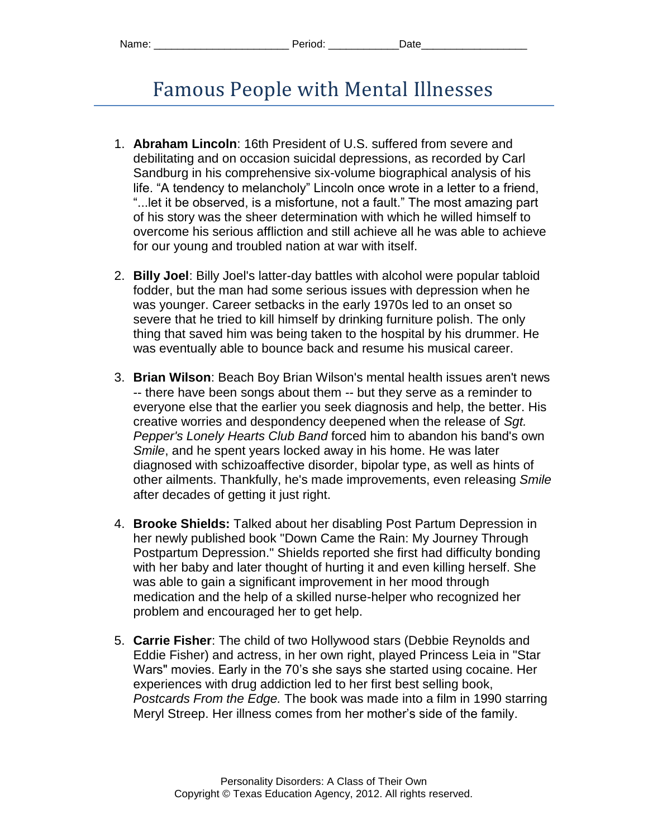## Famous People with Mental Illnesses

- 1. **Abraham Lincoln**: 16th President of U.S. suffered from severe and debilitating and on occasion suicidal depressions, as recorded by Carl Sandburg in his comprehensive six-volume biographical analysis of his life. "A tendency to melancholy" Lincoln once wrote in a letter to a friend, "...let it be observed, is a misfortune, not a fault." The most amazing part of his story was the sheer determination with which he willed himself to overcome his serious affliction and still achieve all he was able to achieve for our young and troubled nation at war with itself.
- 2. **[Billy Joel](http://en.wikipedia.org/wiki/Billy_Joel#Depression)**: Billy Joel's latter-day battles with alcohol were popular tabloid fodder, but the man had some serious issues with depression when he was younger. Career setbacks in the early 1970s led to an onset so severe that he tried to kill himself by drinking furniture polish. The only thing that saved him was being taken to the hospital by his drummer. He was eventually able to bounce back and resume his musical career.
- 3. **[Brian Wilson](http://en.wikipedia.org/wiki/Brian_Wilson#Mental_illness)**: Beach Boy Brian Wilson's mental health issues aren't news -- there have been [songs](http://www.youtube.com/watch?v=hMzbiDV8IAg) about them -- but they serve as a reminder to everyone else that the earlier you seek diagnosis and help, the better. His creative worries and despondency deepened when the release of *Sgt. Pepper's Lonely Hearts Club Band* forced him to abandon his band's own *Smile*, and he spent years locked away in his home. He was later diagnosed with schizoaffective disorder, bipolar type, as well as hints of other ailments. Thankfully, he's made improvements, even releasing *Smile* after decades of getting it just right.
- 4. **Brooke Shields:** Talked about her disabling Post Partum Depression in her newly published book "Down Came the Rain: My Journey Through Postpartum Depression." Shields reported she first had difficulty bonding with her baby and later thought of hurting it and even killing herself. She was able to gain a significant improvement in her mood through medication and the help of a skilled nurse-helper who recognized her problem and encouraged her to get help.
- 5. **Carrie Fisher**: The child of two Hollywood stars (Debbie Reynolds and Eddie Fisher) and actress, in her own right, played Princess Leia in "Star Wars" movies. Early in the 70's she says she started using cocaine. Her experiences with drug addiction led to her first best selling book, *Postcards From the Edge.* The book was made into a film in 1990 starring Meryl Streep. Her illness comes from her mother's side of the family.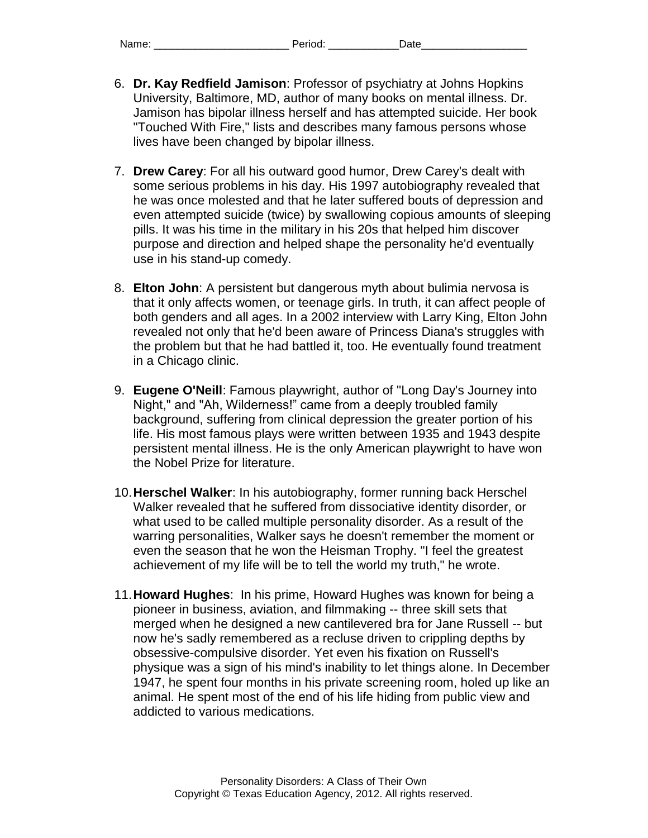| Name |  |
|------|--|
|      |  |

- 6. **Dr. Kay Redfield Jamison**: Professor of psychiatry at Johns Hopkins University, Baltimore, MD, author of many books on mental illness. Dr. Jamison has bipolar illness herself and has attempted suicide. Her book "Touched With Fire," lists and describes many famous persons whose lives have been changed by bipolar illness.
- 7. **[Drew Carey](http://www.biography.com/articles/Drew-Carey-16257107)**: For all his outward good humor, Drew Carey's dealt with some serious problems in his day. His 1997 autobiography revealed that he was once molested and that he later suffered bouts of depression and even attempted suicide (twice) by swallowing copious amounts of sleeping pills. It was his time in the military in his 20s that helped him discover purpose and direction and helped shape the personality he'd eventually use in his stand-up comedy.
- 8. **[Elton John](http://transcripts.cnn.com/TRANSCRIPTS/0201/25/lkl.00.html)**: A persistent but dangerous myth about bulimia nervosa is that it only affects women, or teenage girls. In truth, it can affect people of both genders and all ages. In a 2002 interview with Larry King, Elton John revealed not only that he'd been aware of Princess Diana's struggles with the problem but that he had battled it, too. He eventually found treatment in a Chicago clinic.
- 9. **Eugene O'Neill**: Famous playwright, author of "Long Day's Journey into Night," and "Ah, Wilderness!" came from a deeply troubled family background, suffering from clinical depression the greater portion of his life. His most famous plays were written between 1935 and 1943 despite persistent mental illness. He is the only American playwright to have won the Nobel Prize for literature.
- 10.**[Herschel Walker](http://sports.espn.go.com/nfl/news/story?id=3346240)**: In his autobiography, former running back Herschel Walker revealed that he suffered from dissociative identity disorder, or what used to be called multiple personality disorder. As a result of the warring personalities, Walker says he doesn't remember the moment or even the season that he won the Heisman Trophy. "I feel the greatest achievement of my life will be to tell the world my truth," he wrote.
- 11.**[Howard Hughes](http://en.wikipedia.org/wiki/Howard_Hughes#Mental_illness_and_physical_decline)**: In his prime, Howard Hughes was known for being a pioneer in business, aviation, and filmmaking -- three skill sets that merged when he designed a new cantilevered bra for Jane Russell -- but now he's sadly remembered as a recluse driven to crippling depths by obsessive-compulsive disorder. Yet even his fixation on Russell's physique was a sign of his mind's inability to let things alone. In December 1947, he spent four months in his private screening room, holed up like an animal. He spent most of the end of his life hiding from public view and addicted to various medications.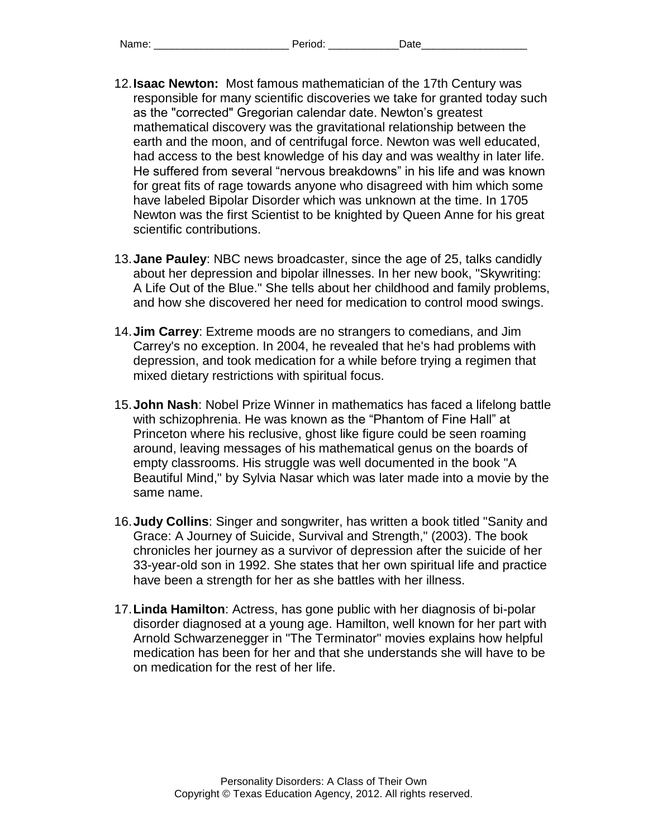| Name: |  |  |
|-------|--|--|
|       |  |  |

- 12.**Isaac Newton:** Most famous mathematician of the 17th Century was responsible for many scientific discoveries we take for granted today such as the "corrected" Gregorian calendar date. Newton's greatest mathematical discovery was the gravitational relationship between the earth and the moon, and of centrifugal force. Newton was well educated, had access to the best knowledge of his day and was wealthy in later life. He suffered from several "nervous breakdowns" in his life and was known for great fits of rage towards anyone who disagreed with him which some have labeled Bipolar Disorder which was unknown at the time. In 1705 Newton was the first Scientist to be knighted by Queen Anne for his great scientific contributions.
- 13.**Jane Pauley**: NBC news broadcaster, since the age of 25, talks candidly about her depression and bipolar illnesses. In her new book, "Skywriting: A Life Out of the Blue." She tells about her childhood and family problems, and how she discovered her need for medication to control mood swings.
- 14.**[Jim Carrey](http://www.cbsnews.com/stories/2004/11/18/60minutes/main656547.shtml)**: Extreme moods are no strangers to comedians, and Jim Carrey's no exception. In 2004, he revealed that he's had problems with depression, and took medication for a while before trying a regimen that mixed dietary restrictions with spiritual focus.
- 15.**John Nash**: Nobel Prize Winner in mathematics has faced a lifelong battle with schizophrenia. He was known as the "Phantom of Fine Hall" at Princeton where his reclusive, ghost like figure could be seen roaming around, leaving messages of his mathematical genus on the boards of empty classrooms. His struggle was well documented in the book "A Beautiful Mind," by Sylvia Nasar which was later made into a movie by the same name.
- 16.**Judy Collins**: Singer and songwriter, has written a book titled "Sanity and Grace: A Journey of Suicide, Survival and Strength," (2003). The book chronicles her journey as a survivor of depression after the suicide of her 33-year-old son in 1992. She states that her own spiritual life and practice have been a strength for her as she battles with her illness.
- 17.**Linda Hamilton**: Actress, has gone public with her diagnosis of bi-polar disorder diagnosed at a young age. Hamilton, well known for her part with Arnold Schwarzenegger in "The Terminator" movies explains how helpful medication has been for her and that she understands she will have to be on medication for the rest of her life.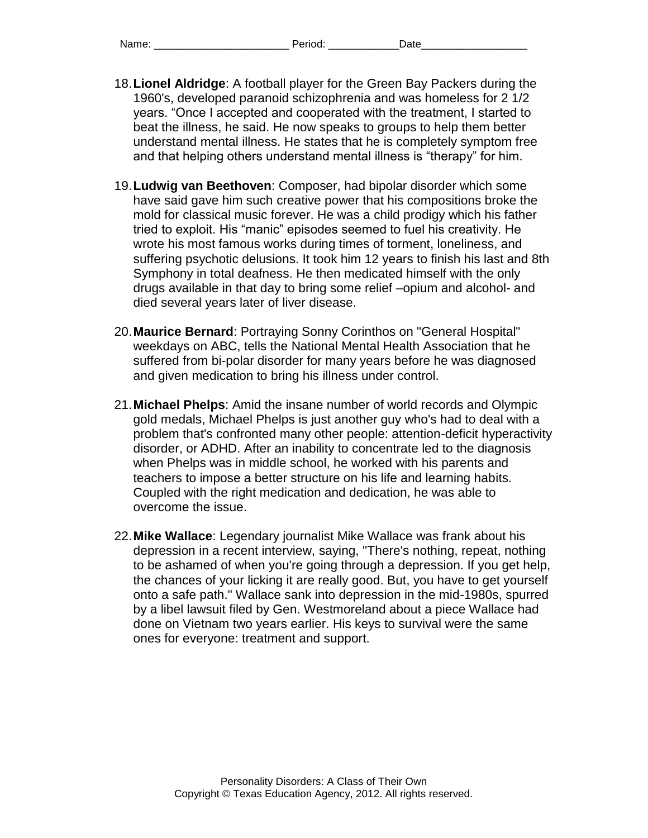| Name: |  |
|-------|--|
|       |  |

- 18.**Lionel Aldridge**: A football player for the Green Bay Packers during the 1960's, developed paranoid schizophrenia and was homeless for 2 1/2 years. "Once I accepted and cooperated with the treatment, I started to beat the illness, he said. He now speaks to groups to help them better understand mental illness. He states that he is completely symptom free and that helping others understand mental illness is "therapy" for him.
- 19.**Ludwig van Beethoven**: Composer, had bipolar disorder which some have said gave him such creative power that his compositions broke the mold for classical music forever. He was a child prodigy which his father tried to exploit. His "manic" episodes seemed to fuel his creativity. He wrote his most famous works during times of torment, loneliness, and suffering psychotic delusions. It took him 12 years to finish his last and 8th Symphony in total deafness. He then medicated himself with the only drugs available in that day to bring some relief –opium and alcohol- and died several years later of liver disease.
- 20.**Maurice Bernard**: Portraying Sonny Corinthos on "General Hospital" weekdays on ABC, tells the National Mental Health Association that he suffered from bi-polar disorder for many years before he was diagnosed and given medication to bring his illness under control.
- 21.**[Michael Phelps](http://www.additudemag.com/adhd/article/1998.html)**: Amid the insane number of world records and Olympic gold medals, Michael Phelps is just another guy who's had to deal with a problem that's confronted many other people: attention-deficit hyperactivity disorder, or ADHD. After an inability to concentrate led to the diagnosis when Phelps was in middle school, he worked with his parents and teachers to impose a better structure on his life and learning habits. Coupled with the right medication and dedication, he was able to overcome the issue.
- 22.**[Mike Wallace](http://www.cbs.com/cbs_cares/topics/?sec=5)**: Legendary journalist Mike Wallace was frank about his depression in a recent interview, saying, "There's nothing, repeat, nothing to be ashamed of when you're going through a depression. If you get help, the chances of your licking it are really good. But, you have to get yourself onto a safe path." Wallace sank into depression in the mid-1980s, spurred by a libel lawsuit filed by Gen. Westmoreland about a piece Wallace had done on Vietnam two years earlier. His keys to survival were the same ones for everyone: treatment and support.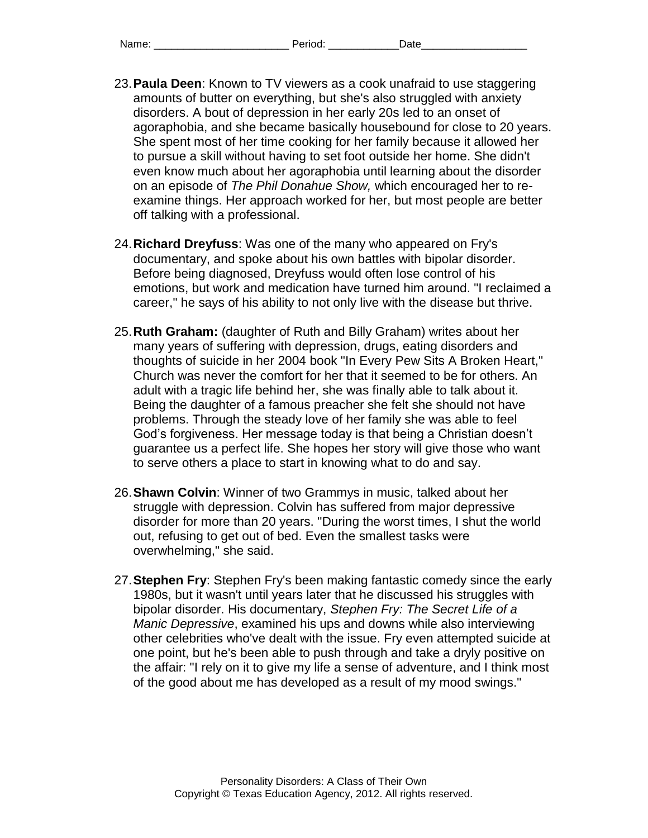|  | Name: |  |
|--|-------|--|
|  |       |  |

- 23.**[Paula Deen](http://www.nytimes.com/2007/02/28/dining/28deen.html)**: Known to TV viewers as a cook unafraid to use staggering amounts of butter on everything, but she's also struggled with anxiety disorders. A bout of depression in her early 20s led to an onset of agoraphobia, and she became basically housebound for close to 20 years. She spent most of her time cooking for her family because it allowed her to pursue a skill without having to set foot outside her home. She didn't even know much about her agoraphobia until learning about the disorder on an episode of *The Phil Donahue Show,* which encouraged her to reexamine things. Her approach worked for her, but most people are better off talking with a professional.
- 24.**[Richard Dreyfuss](http://www.disaboom.com/movies/richard-dreyfuss-navigates-the-highs-and-lows-of-bipolar-disorder)**: Was one of the many who appeared on Fry's documentary, and spoke about his own battles with bipolar disorder. Before being diagnosed, Dreyfuss would often lose control of his emotions, but work and medication have turned him around. "I reclaimed a career," he says of his ability to not only live with the disease but thrive.
- 25.**Ruth Graham:** (daughter of Ruth and Billy Graham) writes about her many years of suffering with depression, drugs, eating disorders and thoughts of suicide in her 2004 book "In Every Pew Sits A Broken Heart," Church was never the comfort for her that it seemed to be for others. An adult with a tragic life behind her, she was finally able to talk about it. Being the daughter of a famous preacher she felt she should not have problems. Through the steady love of her family she was able to feel God's forgiveness. Her message today is that being a Christian doesn't guarantee us a perfect life. She hopes her story will give those who want to serve others a place to start in knowing what to do and say.
- 26.**Shawn Colvin**: Winner of two Grammys in music, talked about her struggle with depression. Colvin has suffered from major depressive disorder for more than 20 years. "During the worst times, I shut the world out, refusing to get out of bed. Even the smallest tasks were overwhelming," she said.
- 27.**[Stephen Fry](http://www.independent.co.uk/life-style/health-and-families/health-news/stephen-fry-my-battle-with-mental-illness-416386.html)**: Stephen Fry's been making fantastic comedy since the early 1980s, but it wasn't until years later that he discussed his struggles with bipolar disorder. His documentary, *Stephen Fry: The Secret Life of a Manic Depressive*, examined his ups and downs while also interviewing other celebrities who've dealt with the issue. Fry even attempted suicide at one point, but he's been able to push through and take a dryly positive on the affair: "I rely on it to give my life a sense of adventure, and I think most of the good about me has developed as a result of my mood swings."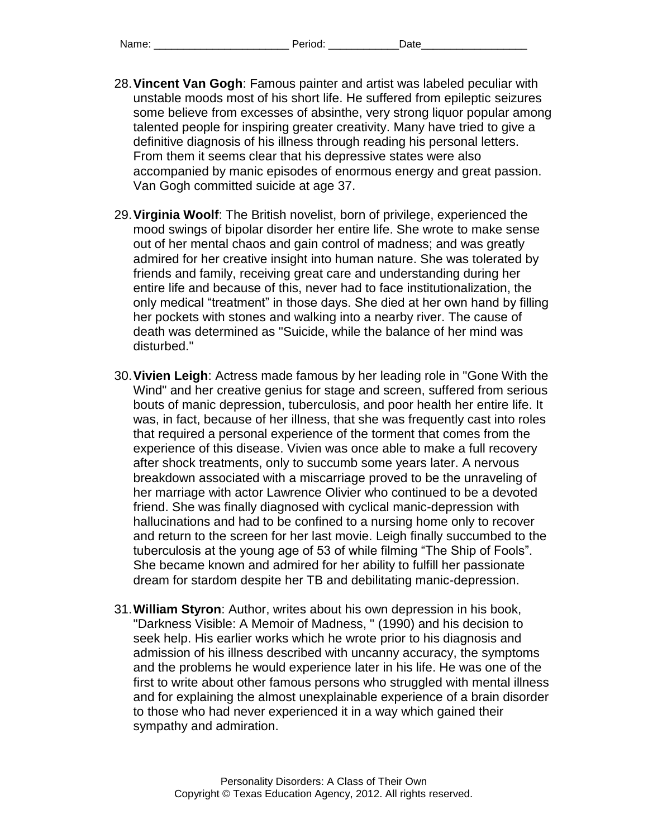| Name | )ate |  |
|------|------|--|
|      | ---  |  |

- 28.**Vincent Van Gogh**: Famous painter and artist was labeled peculiar with unstable moods most of his short life. He suffered from epileptic seizures some believe from excesses of absinthe, very strong liquor popular among talented people for inspiring greater creativity. Many have tried to give a definitive diagnosis of his illness through reading his personal letters. From them it seems clear that his depressive states were also accompanied by manic episodes of enormous energy and great passion. Van Gogh committed suicide at age 37.
- 29.**Virginia Woolf**: The British novelist, born of privilege, experienced the mood swings of bipolar disorder her entire life. She wrote to make sense out of her mental chaos and gain control of madness; and was greatly admired for her creative insight into human nature. She was tolerated by friends and family, receiving great care and understanding during her entire life and because of this, never had to face institutionalization, the only medical "treatment" in those days. She died at her own hand by filling her pockets with stones and walking into a nearby river. The cause of death was determined as "Suicide, while the balance of her mind was disturbed."
- 30.**Vivien Leigh**: Actress made famous by her leading role in "Gone With the Wind" and her creative genius for stage and screen, suffered from serious bouts of manic depression, tuberculosis, and poor health her entire life. It was, in fact, because of her illness, that she was frequently cast into roles that required a personal experience of the torment that comes from the experience of this disease. Vivien was once able to make a full recovery after shock treatments, only to succumb some years later. A nervous breakdown associated with a miscarriage proved to be the unraveling of her marriage with actor Lawrence Olivier who continued to be a devoted friend. She was finally diagnosed with cyclical manic-depression with hallucinations and had to be confined to a nursing home only to recover and return to the screen for her last movie. Leigh finally succumbed to the tuberculosis at the young age of 53 of while filming "The Ship of Fools". She became known and admired for her ability to fulfill her passionate dream for stardom despite her TB and debilitating manic-depression.
- 31.**William Styron**: Author, writes about his own depression in his book, "Darkness Visible: A Memoir of Madness, " (1990) and his decision to seek help. His earlier works which he wrote prior to his diagnosis and admission of his illness described with uncanny accuracy, the symptoms and the problems he would experience later in his life. He was one of the first to write about other famous persons who struggled with mental illness and for explaining the almost unexplainable experience of a brain disorder to those who had never experienced it in a way which gained their sympathy and admiration.